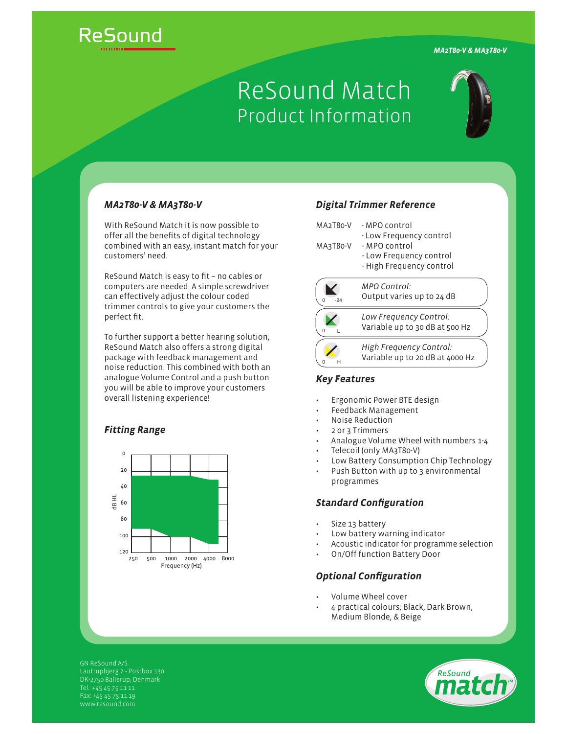*MA2T80-V & MA3T80-V*

# ReSound

## ReSound Match Product Information



#### *MA2T80-V & MA3T80-V*

With ReSound Match it is now possible to offer all the benefits of digital technology combined with an easy, instant match for your customers' need.

ReSound Match is easy to fit - no cables or computers are needed. A simple screwdriver can effectively adjust the colour coded trimmer controls to give your customers the perfect fit.

To further support a better hearing solution, ReSound Match also offers a strong digital package with feedback management and noise reduction. This combined with both an analogue Volume Control and a push button you will be able to improve your customers overall listening experience!

#### *Fitting Range*



#### *Digital Trimmer Reference*

| MA2T80-V<br>MA3T80-V | - MPO control<br>- Low Frequency control<br>- MPO control<br>- Low Frequency control<br>- High Frequency control |
|----------------------|------------------------------------------------------------------------------------------------------------------|
|                      | MPO Control:<br>Output varies up to 24 dB                                                                        |
|                      | Low Frequency Control:<br>Variable up to 30 dB at 500 Hz                                                         |
|                      | High Frequency Control:<br>Variable up to 20 dB at 4000 Hz                                                       |

#### *Key Features*

- Ergonomic Power BTE design
- Feedback Management
- Noise Reduction
- 2 or 3 Trimmers
- Analogue Volume Wheel with numbers 1-4
	- Telecoil (only MA3T80-V)
- Low Battery Consumption Chip Technology
- Push Button with up to 3 environmental programmes

#### **Standard Configuration**

- Size 13 battery
- Low battery warning indicator
- Acoustic indicator for programme selection
- On/Off function Battery Door

### **Optional Configuration**

- Volume Wheel cover
- 4 practical colours; Black, Dark Brown, Medium Blonde, & Beige

GN ReSound A/S Lautrupbjerg 7 · Postbox 130 DK-2750 Ballerup, Denmark Fax: +45 45 75 11 19